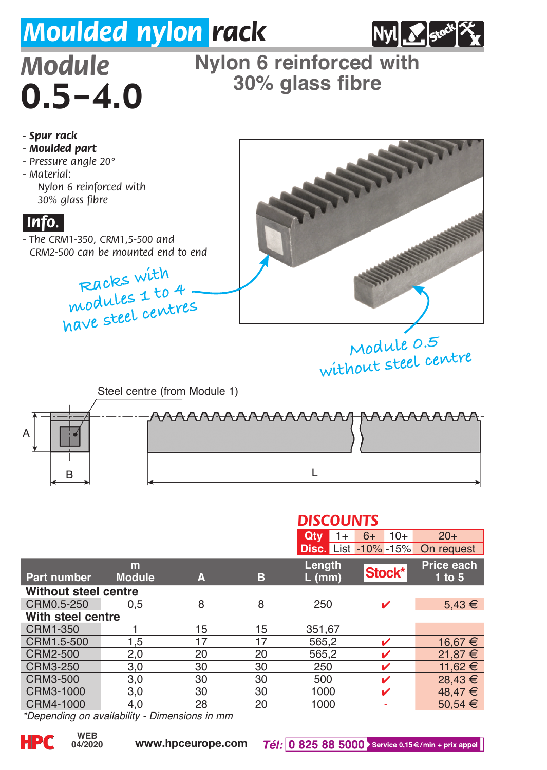## *Moulded nylon rack*



## $0.5 - 4.0$

## Module Nylon 6 reinforced with<br>**O** 5 – 4 O <sup>30%</sup> glass fibre



|                                                          |               |    |    | <b>DISCOUNTS</b> |                             |             |  |
|----------------------------------------------------------|---------------|----|----|------------------|-----------------------------|-------------|--|
|                                                          |               |    |    | Qtv<br>$1+$      | $10+$<br>$6+$               | $20+$       |  |
|                                                          |               |    |    |                  | <b>Disc.</b> List -10% -15% | On request  |  |
|                                                          | m             |    |    | Length           |                             | Price each  |  |
| Part number                                              | <b>Module</b> | A  | в  | $L$ (mm)         | Stock*                      | $1$ to $5$  |  |
| Without steel centre                                     |               |    |    |                  |                             |             |  |
| CRM0.5-250                                               | 0.5           | 8  | 8  | 250              | ✓                           | $5,43 \in$  |  |
| With steel centre                                        |               |    |    |                  |                             |             |  |
| CRM1-350                                                 |               | 15 | 15 | 351.67           |                             |             |  |
| CRM1.5-500                                               | 1,5           | 17 | 17 | 565,2            | ✓                           | 16,67 €     |  |
| CRM2-500                                                 | 2,0           | 20 | 20 | 565.2            | ✓                           | $21,87 \in$ |  |
| CRM3-250                                                 | 3,0           | 30 | 30 | 250              | ✓                           | 11,62 €     |  |
| CRM3-500                                                 | 3,0           | 30 | 30 | 500              |                             | 28,43 €     |  |
| CRM3-1000                                                | 3.0           | 30 | 30 | 1000             | ✓                           | 48,47 €     |  |
| CRM4-1000                                                | 4.0           | 28 | 20 | 1000             |                             | 50,54 €     |  |
| $*$ Danandina an availahilih $\cdot$<br>Dimensione in mm |               |    |    |                  |                             |             |  |

*\*Depending on availability - Dimensions in mm*

**04/2020**